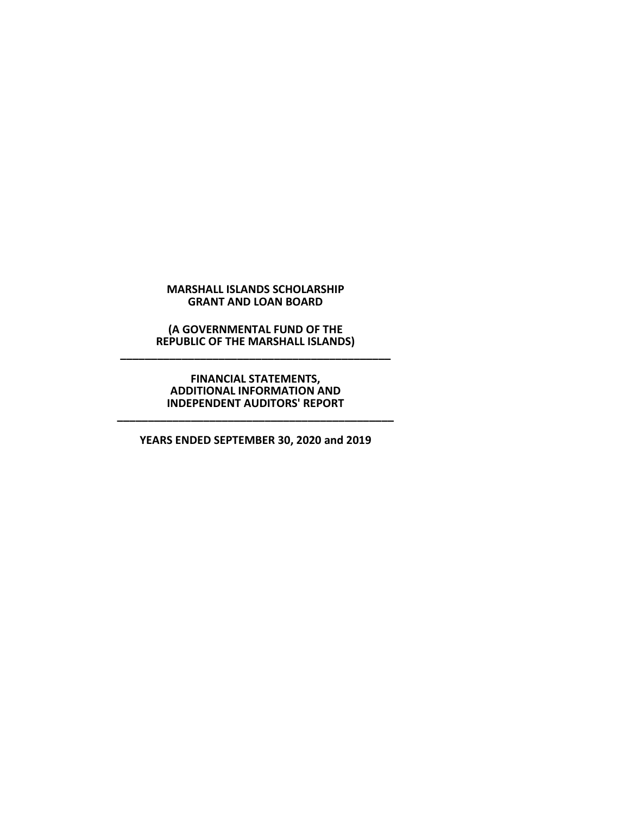**(A GOVERNMENTAL FUND OF THE REPUBLIC OF THE MARSHALL ISLANDS) \_\_\_\_\_\_\_\_\_\_\_\_\_\_\_\_\_\_\_\_\_\_\_\_\_\_\_\_\_\_\_\_\_\_\_\_\_\_\_\_\_\_\_\_**

#### **FINANCIAL STATEMENTS, ADDITIONAL INFORMATION AND INDEPENDENT AUDITORS' REPORT**

#### **YEARS ENDED SEPTEMBER 30, 2020 and 2019**

**\_\_\_\_\_\_\_\_\_\_\_\_\_\_\_\_\_\_\_\_\_\_\_\_\_\_\_\_\_\_\_\_\_\_\_\_\_\_\_\_\_\_\_\_\_**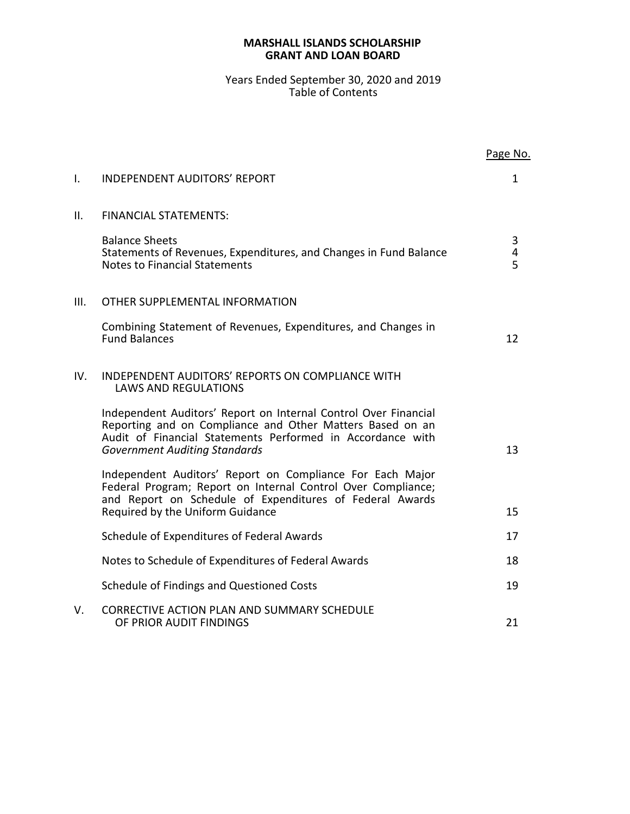#### Years Ended September 30, 2020 and 2019 Table of Contents

|      |                                                                                                                                                                                                                                    | Page No.    |
|------|------------------------------------------------------------------------------------------------------------------------------------------------------------------------------------------------------------------------------------|-------------|
| I.   | <b>INDEPENDENT AUDITORS' REPORT</b>                                                                                                                                                                                                | 1           |
| II.  | <b>FINANCIAL STATEMENTS:</b>                                                                                                                                                                                                       |             |
|      | <b>Balance Sheets</b><br>Statements of Revenues, Expenditures, and Changes in Fund Balance<br><b>Notes to Financial Statements</b>                                                                                                 | 3<br>4<br>5 |
| III. | OTHER SUPPLEMENTAL INFORMATION                                                                                                                                                                                                     |             |
|      | Combining Statement of Revenues, Expenditures, and Changes in<br><b>Fund Balances</b>                                                                                                                                              | 12          |
| IV.  | INDEPENDENT AUDITORS' REPORTS ON COMPLIANCE WITH<br><b>LAWS AND REGULATIONS</b>                                                                                                                                                    |             |
|      | Independent Auditors' Report on Internal Control Over Financial<br>Reporting and on Compliance and Other Matters Based on an<br>Audit of Financial Statements Performed in Accordance with<br><b>Government Auditing Standards</b> | 13          |
|      | Independent Auditors' Report on Compliance For Each Major<br>Federal Program; Report on Internal Control Over Compliance;<br>and Report on Schedule of Expenditures of Federal Awards<br>Required by the Uniform Guidance          | 15          |
|      | Schedule of Expenditures of Federal Awards                                                                                                                                                                                         | 17          |
|      | Notes to Schedule of Expenditures of Federal Awards                                                                                                                                                                                | 18          |
|      | Schedule of Findings and Questioned Costs                                                                                                                                                                                          | 19          |
| V.   | <b>CORRECTIVE ACTION PLAN AND SUMMARY SCHEDULE</b><br>OF PRIOR AUDIT FINDINGS                                                                                                                                                      | 21          |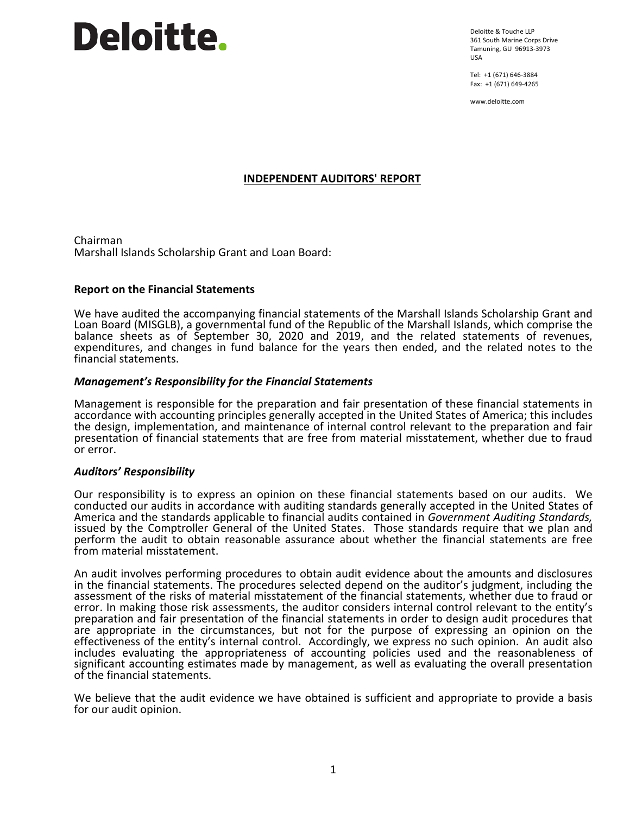

Deloitte & Touche LLP 361 South Marine Corps Drive Tamuning, GU 96913-3973 USA

Tel: +1 (671) 646-3884 Fax: +1 (671) 649-4265

www.deloitte.com

#### **INDEPENDENT AUDITORS' REPORT**

Chairman Marshall Islands Scholarship Grant and Loan Board:

#### **Report on the Financial Statements**

We have audited the accompanying financial statements of the Marshall Islands Scholarship Grant and Loan Board (MISGLB), a governmental fund of the Republic of the Marshall Islands, which comprise the balance sheets as of September 30, 2020 and 2019, and the related statements of revenues, expenditures, and changes in fund balance for the years then ended, and the related notes to the financial statements.

#### *Management's Responsibility for the Financial Statements*

Management is responsible for the preparation and fair presentation of these financial statements in accordance with accounting principles generally accepted in the United States of America; this includes the design, implementation, and maintenance of internal control relevant to the preparation and fair presentation of financial statements that are free from material misstatement, whether due to fraud or error.

#### *Auditors' Responsibility*

Our responsibility is to express an opinion on these financial statements based on our audits. We conducted our audits in accordance with auditing standards generally accepted in the United States of America and the standards applicable to financial audits contained in *Government Auditing Standards,* issued by the Comptroller General of the United States. Those standards require that we plan and perform the audit to obtain reasonable assurance about whether the financial statements are free from material misstatement.

An audit involves performing procedures to obtain audit evidence about the amounts and disclosures in the financial statements. The procedures selected depend on the auditor's judgment, including the assessment of the risks of material misstatement of the financial statements, whether due to fraud or error. In making those risk assessments, the auditor considers internal control relevant to the entity's preparation and fair presentation of the financial statements in order to design audit procedures that are appropriate in the circumstances, but not for the purpose of expressing an opinion on the effectiveness of the entity's internal control. Accordingly, we express no such opinion. An audit also includes evaluating the appropriateness of accounting policies used and the reasonableness of significant accounting estimates made by management, as well as evaluating the overall presentation of the financial statements.

We believe that the audit evidence we have obtained is sufficient and appropriate to provide a basis for our audit opinion.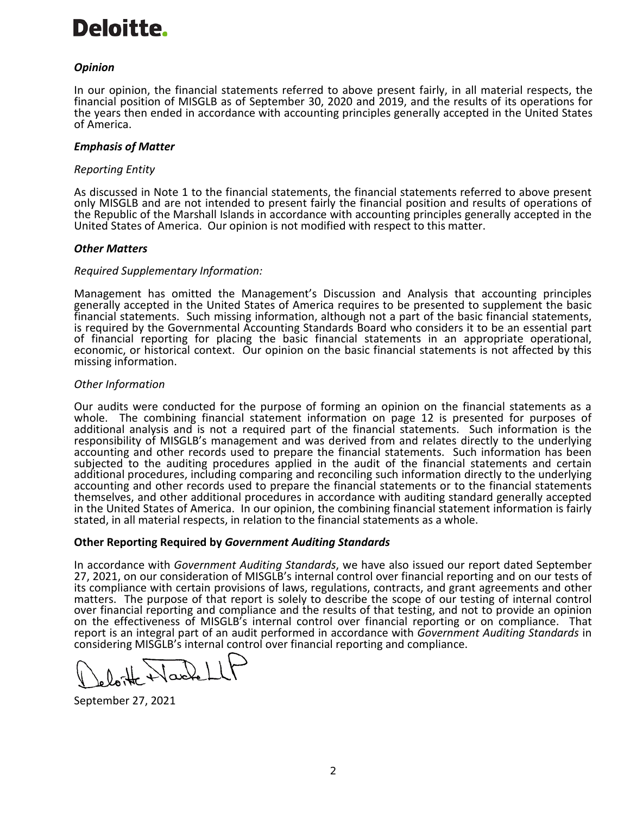# *Opinion*

In our opinion, the financial statements referred to above present fairly, in all material respects, the financial position of MISGLB as of September 30, 2020 and 2019, and the results of its operations for the years then ended in accordance with accounting principles generally accepted in the United States of America.

#### *Emphasis of Matter*

#### *Reporting Entity*

As discussed in Note 1 to the financial statements, the financial statements referred to above present only MISGLB and are not intended to present fairly the financial position and results of operations of the Republic of the Marshall Islands in accordance with accounting principles generally accepted in the United States of America. Our opinion is not modified with respect to this matter.

## *Other Matters*

#### *Required Supplementary Information:*

Management has omitted the Management's Discussion and Analysis that accounting principles generally accepted in the United States of America requires to be presented to supplement the basic financial statements. Such missing information, although not a part of the basic financial statements, is required by the Governmental Accounting Standards Board who considers it to be an essential part of financial reporting for placing the basic financial statements in an appropriate operational, economic, or historical context. Our opinion on the basic financial statements is not affected by this missing information.

#### *Other Information*

Our audits were conducted for the purpose of forming an opinion on the financial statements as a whole. The combining financial statement information on page 12 is presented for purposes of additional analysis and is not a required part of the financial statements. Such information is the responsibility of MISGLB's management and was derived from and relates directly to the underlying accounting and other records used to prepare the financial statements. Such information has been subjected to the auditing procedures applied in the audit of the financial statements and certain additional procedures, including comparing and reconciling such information directly to the underlying accounting and other records used to prepare the financial statements or to the financial statements themselves, and other additional procedures in accordance with auditing standard generally accepted in the United States of America. In our opinion, the combining financial statement information is fairly stated, in all material respects, in relation to the financial statements as a whole.

#### **Other Reporting Required by** *Government Auditing Standards*

In accordance with *Government Auditing Standards*, we have also issued our report dated September 27, 2021, on our consideration of MISGLB's internal control over financial reporting and on our tests of its compliance with certain provisions of laws, regulations, contracts, and grant agreements and other matters. The purpose of that report is solely to describe the scope of our testing of internal control over financial reporting and compliance and the results of that testing, and not to provide an opinion on the effectiveness of MISGLB's internal control over financial reporting or on compliance. That report is an integral part of an audit performed in accordance with *Government Auditing Standards* in considering MISGLB's internal control over financial reporting and compliance.

September 27, 2021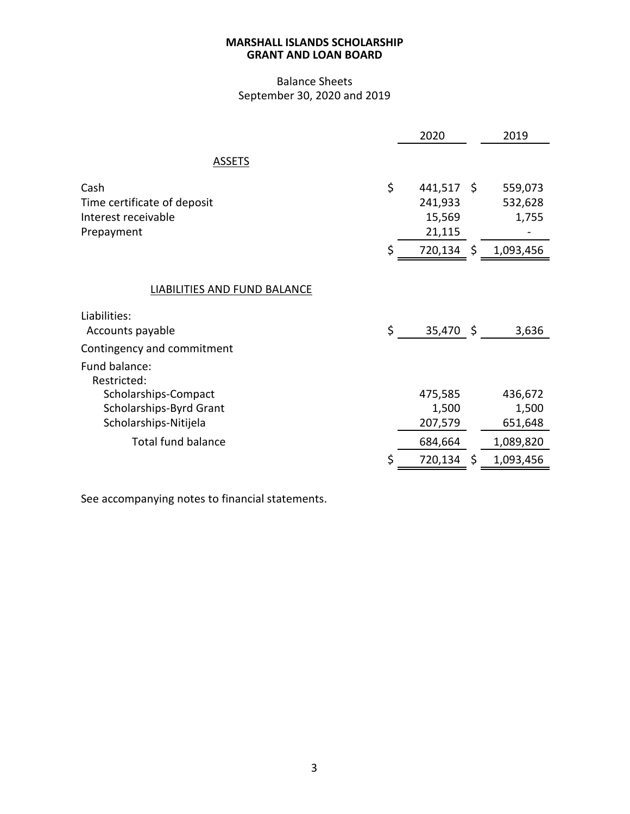# Balance Sheets September 30, 2020 and 2019

|                                                                                                          |         | 2020                                                      | 2019                                     |
|----------------------------------------------------------------------------------------------------------|---------|-----------------------------------------------------------|------------------------------------------|
| <b>ASSETS</b>                                                                                            |         |                                                           |                                          |
| Cash<br>Time certificate of deposit<br>Interest receivable<br>Prepayment                                 | \$<br>Ś | $441,517$ \$<br>241,933<br>15,569<br>21,115<br>720,134 \$ | 559,073<br>532,628<br>1,755<br>1,093,456 |
| <b>LIABILITIES AND FUND BALANCE</b>                                                                      |         |                                                           |                                          |
| Liabilities:<br>Accounts payable<br>Contingency and commitment                                           | \$      | 35,470 \$                                                 | 3,636                                    |
| Fund balance:<br>Restricted:<br>Scholarships-Compact<br>Scholarships-Byrd Grant<br>Scholarships-Nitijela |         | 475,585<br>1,500<br>207,579                               | 436,672<br>1,500<br>651,648              |
| <b>Total fund balance</b>                                                                                | \$      | 684,664<br>720,134                                        | \$<br>1,089,820<br>1,093,456             |

See accompanying notes to financial statements.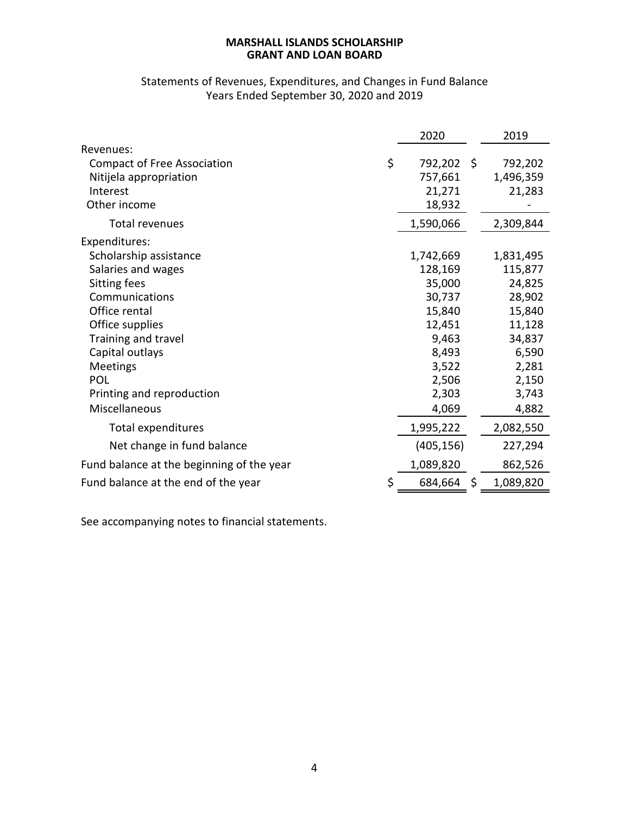# Statements of Revenues, Expenditures, and Changes in Fund Balance Years Ended September 30, 2020 and 2019

|                                           |    | 2020       | 2019            |
|-------------------------------------------|----|------------|-----------------|
| Revenues:                                 |    |            |                 |
| <b>Compact of Free Association</b>        | \$ | 792,202    | \$<br>792,202   |
| Nitijela appropriation                    |    | 757,661    | 1,496,359       |
| Interest                                  |    | 21,271     | 21,283          |
| Other income                              |    | 18,932     |                 |
| <b>Total revenues</b>                     |    | 1,590,066  | 2,309,844       |
| Expenditures:                             |    |            |                 |
| Scholarship assistance                    |    | 1,742,669  | 1,831,495       |
| Salaries and wages                        |    | 128,169    | 115,877         |
| Sitting fees                              |    | 35,000     | 24,825          |
| Communications                            |    | 30,737     | 28,902          |
| Office rental                             |    | 15,840     | 15,840          |
| Office supplies                           |    | 12,451     | 11,128          |
| Training and travel                       |    | 9,463      | 34,837          |
| Capital outlays                           |    | 8,493      | 6,590           |
| <b>Meetings</b>                           |    | 3,522      | 2,281           |
| <b>POL</b>                                |    | 2,506      | 2,150           |
| Printing and reproduction                 |    | 2,303      | 3,743           |
| Miscellaneous                             |    | 4,069      | 4,882           |
| Total expenditures                        |    | 1,995,222  | 2,082,550       |
| Net change in fund balance                |    | (405, 156) | 227,294         |
| Fund balance at the beginning of the year |    | 1,089,820  | 862,526         |
| Fund balance at the end of the year       | Ş  | 684,664    | \$<br>1,089,820 |

See accompanying notes to financial statements.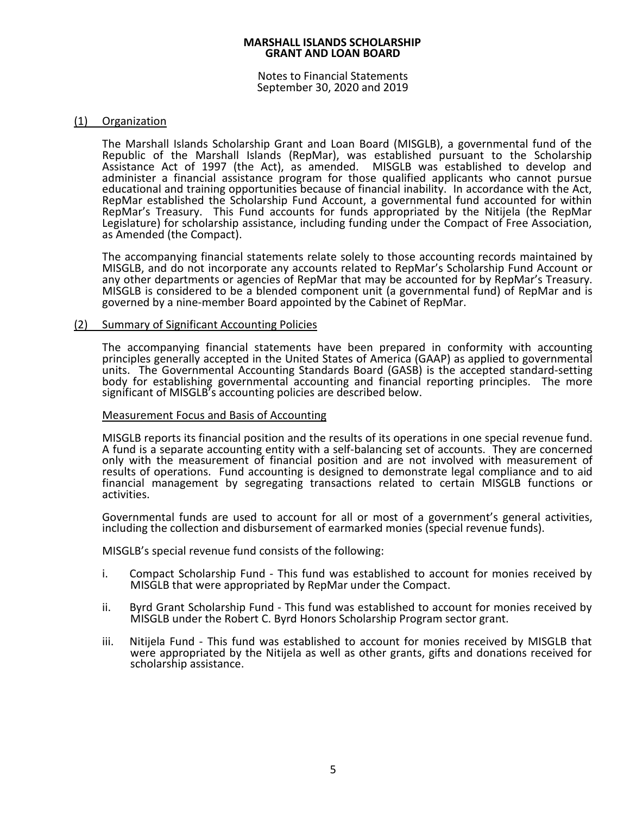Notes to Financial Statements September 30, 2020 and 2019

#### (1) Organization

The Marshall Islands Scholarship Grant and Loan Board (MISGLB), a governmental fund of the Republic of the Marshall Islands (RepMar), was established pursuant to the Scholarship Assistance Act of 1997 (the Act), as amended. MISGLB was established to develop and administer a financial assistance program for those qualified applicants who cannot pursue educational and training opportunities because of financial inability. In accordance with the Act, RepMar established the Scholarship Fund Account, a governmental fund accounted for within RepMar's Treasury. This Fund accounts for funds appropriated by the Nitijela (the RepMar Legislature) for scholarship assistance, including funding under the Compact of Free Association, as Amended (the Compact).

The accompanying financial statements relate solely to those accounting records maintained by MISGLB, and do not incorporate any accounts related to RepMar's Scholarship Fund Account or any other departments or agencies of RepMar that may be accounted for by RepMar's Treasury. MISGLB is considered to be a blended component unit (a governmental fund) of RepMar and is governed by a nine-member Board appointed by the Cabinet of RepMar.

#### (2) Summary of Significant Accounting Policies

The accompanying financial statements have been prepared in conformity with accounting principles generally accepted in the United States of America (GAAP) as applied to governmental units. The Governmental Accounting Standards Board (GASB) is the accepted standard-setting body for establishing governmental accounting and financial reporting principles. The more significant of MISGLB's accounting policies are described below.

#### Measurement Focus and Basis of Accounting

MISGLB reports its financial position and the results of its operations in one special revenue fund. A fund is a separate accounting entity with a self-balancing set of accounts. They are concerned only with the measurement of financial position and are not involved with measurement of results of operations. Fund accounting is designed to demonstrate legal compliance and to aid financial management by segregating transactions related to certain MISGLB functions or activities.

Governmental funds are used to account for all or most of a government's general activities, including the collection and disbursement of earmarked monies (special revenue funds).

MISGLB's special revenue fund consists of the following:

- i. Compact Scholarship Fund This fund was established to account for monies received by MISGLB that were appropriated by RepMar under the Compact.
- ii. Byrd Grant Scholarship Fund This fund was established to account for monies received by MISGLB under the Robert C. Byrd Honors Scholarship Program sector grant.
- iii. Nitijela Fund This fund was established to account for monies received by MISGLB that were appropriated by the Nitijela as well as other grants, gifts and donations received for scholarship assistance.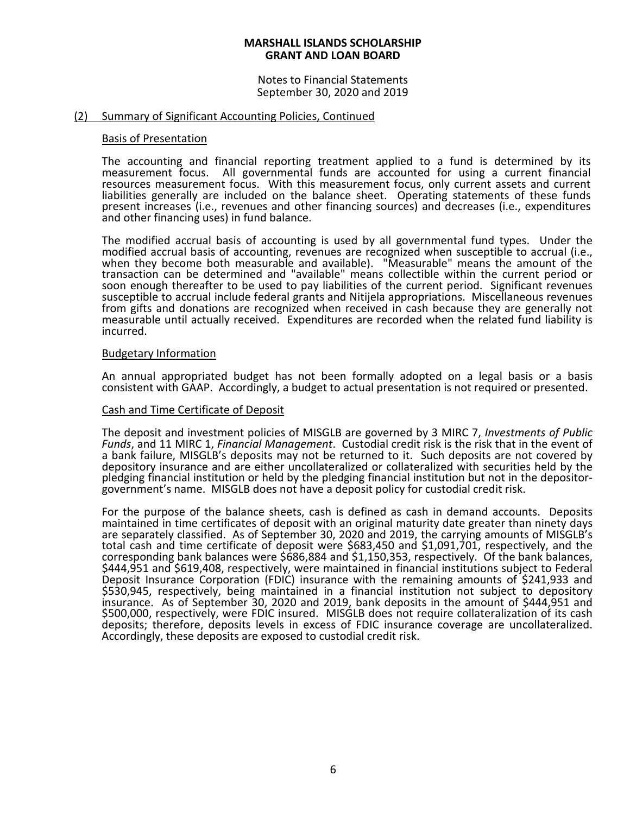Notes to Financial Statements September 30, 2020 and 2019

#### (2) Summary of Significant Accounting Policies, Continued

#### Basis of Presentation

The accounting and financial reporting treatment applied to a fund is determined by its measurement focus. All governmental funds are accounted for using a current financial resources measurement focus. With this measurement focus, only current assets and current liabilities generally are included on the balance sheet. Operating statements of these funds present increases (i.e., revenues and other financing sources) and decreases (i.e., expenditures and other financing uses) in fund balance.

The modified accrual basis of accounting is used by all governmental fund types. Under the modified accrual basis of accounting, revenues are recognized when susceptible to accrual (i.e., when they become both measurable and available). "Measurable" means the amount of the transaction can be determined and "available" means collectible within the current period or soon enough thereafter to be used to pay liabilities of the current period. Significant revenues susceptible to accrual include federal grants and Nitijela appropriations. Miscellaneous revenues from gifts and donations are recognized when received in cash because they are generally not measurable until actually received. Expenditures are recorded when the related fund liability is incurred.

#### Budgetary Information

An annual appropriated budget has not been formally adopted on a legal basis or a basis consistent with GAAP. Accordingly, a budget to actual presentation is not required or presented.

#### Cash and Time Certificate of Deposit

The deposit and investment policies of MISGLB are governed by 3 MIRC 7, *Investments of Public Funds*, and 11 MIRC 1, *Financial Management*. Custodial credit risk is the risk that in the event of a bank failure, MISGLB's deposits may not be returned to it. Such deposits are not covered by depository insurance and are either uncollateralized or collateralized with securities held by the pledging financial institution or held by the pledging financial institution but not in the depositor- government's name. MISGLB does not have a deposit policy for custodial credit risk.

For the purpose of the balance sheets, cash is defined as cash in demand accounts. Deposits maintained in time certificates of deposit with an original maturity date greater than ninety days are separately classified. As of September 30, 2020 and 2019, the carrying amounts of MISGLB's total cash and time certificate of deposit were \$683,450 and \$1,091,701, respectively, and the corresponding bank balances were \$686,884 and \$1,150,353, respectively. Of the bank balances, \$444,951 and \$619,408, respectively, were maintained in financial institutions subject to Federal Deposit Insurance Corporation (FDIC) insurance with the remaining amounts of \$241,933 and \$530,945, respectively, being maintained in a financial institution not subject to depository insurance. As of September 30, 2020 and 2019, bank deposits in the amount of \$444,951 and \$500,000, respectively, were FDIC insured. MISGLB does not require collateralization of its cash deposits; therefore, deposits levels in excess of FDIC insurance coverage are uncollateralized.<br>Accordingly, these deposits are exposed to custodial credit risk.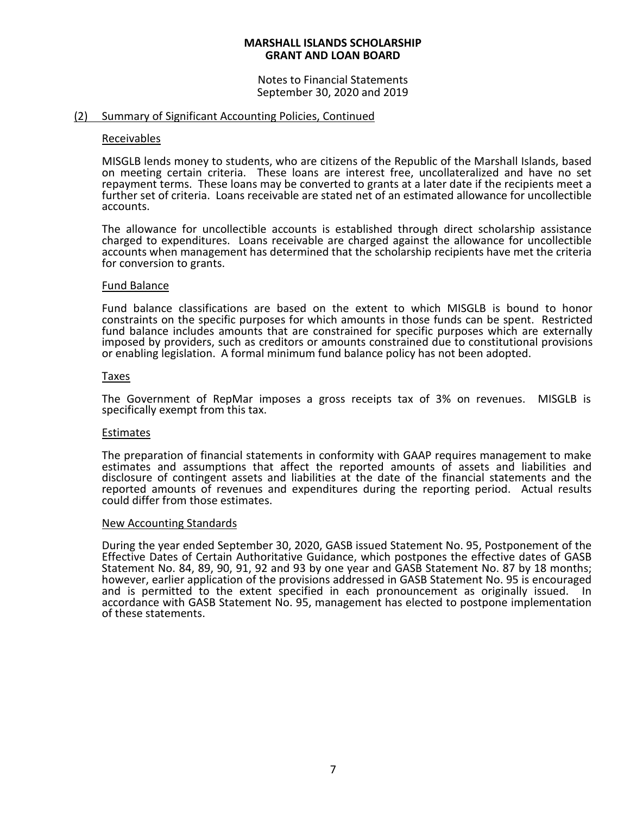Notes to Financial Statements September 30, 2020 and 2019

#### (2) Summary of Significant Accounting Policies, Continued

#### Receivables

MISGLB lends money to students, who are citizens of the Republic of the Marshall Islands, based on meeting certain criteria. These loans are interest free, uncollateralized and have no set repayment terms. These loans may be converted to grants at a later date if the recipients meet a further set of criteria. Loans receivable are stated net of an estimated allowance for uncollectible accounts.

The allowance for uncollectible accounts is established through direct scholarship assistance charged to expenditures. Loans receivable are charged against the allowance for uncollectible accounts when management has determined that the scholarship recipients have met the criteria for conversion to grants.

#### Fund Balance

Fund balance classifications are based on the extent to which MISGLB is bound to honor constraints on the specific purposes for which amounts in those funds can be spent. Restricted fund balance includes amounts that are constrained for specific purposes which are externally imposed by providers, such as creditors or amounts constrained due to constitutional provisions or enabling legislation. A formal minimum fund balance policy has not been adopted.

#### Taxes

The Government of RepMar imposes a gross receipts tax of 3% on revenues. MISGLB is specifically exempt from this tax.

#### Estimates

The preparation of financial statements in conformity with GAAP requires management to make estimates and assumptions that affect the reported amounts of assets and liabilities and disclosure of contingent assets and liabilities at the date of the financial statements and the reported amounts of revenues and expenditures during the reporting period. Actual results could differ from those estimates.

#### New Accounting Standards

During the year ended September 30, 2020, GASB issued Statement No. 95, Postponement of the Effective Dates of Certain Authoritative Guidance, which postpones the effective dates of GASB Statement No. 84, 89, 90, 91, 92 and 93 by one year and GASB Statement No. 87 by 18 months; however, earlier application of the provisions addressed in GASB Statement No. 95 is encouraged and is permitted to the extent specified in each pronouncement as originally issued. In accordance with GASB Statement No. 95, management has elected to postpone implementation of these statements.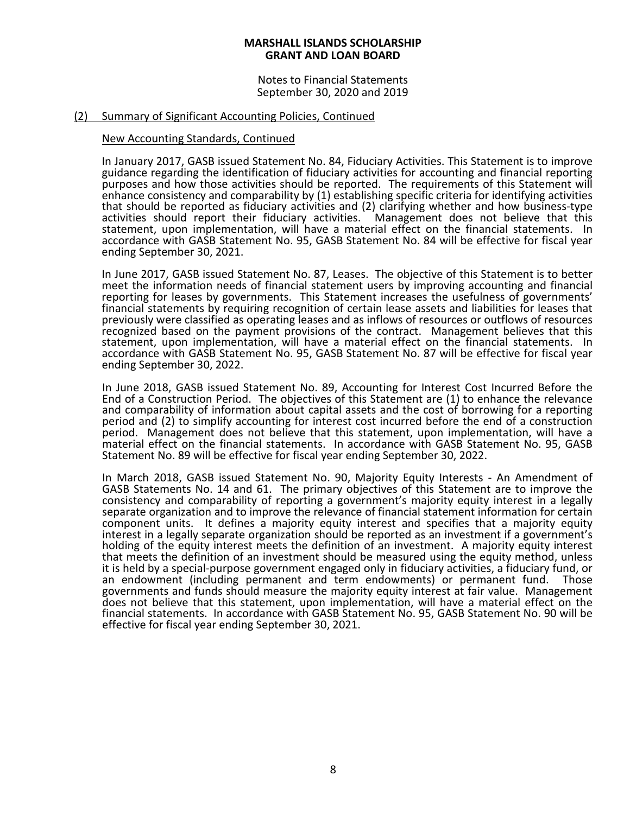Notes to Financial Statements September 30, 2020 and 2019

#### (2) Summary of Significant Accounting Policies, Continued

#### New Accounting Standards, Continued

In January 2017, GASB issued Statement No. 84, Fiduciary Activities. This Statement is to improve guidance regarding the identification of fiduciary activities for accounting and financial reporting purposes and how those activities should be reported. The requirements of this Statement will enhance consistency and comparability by (1) establishing specific criteria for identifying activities that should be reported as fiduciary activities and (2) clarifying whether and how business-type activities should report their fiduciary activities. Management does not believe that this statement, upon implementation, will have a material effect on the financial statements. In accordance with GASB Statement No. 95, GASB Statement No. 84 will be effective for fiscal year ending September 30, 2021.

In June 2017, GASB issued Statement No. 87, Leases. The objective of this Statement is to better meet the information needs of financial statement users by improving accounting and financial reporting for leases by governments. This Statement increases the usefulness of governments' financial statements by requiring recognition of certain lease assets and liabilities for leases that previously were classified as operating leases and as inflows of resources or outflows of resources recognized based on the payment provisions of the contract. Management believes that this statement, upon implementation, will have a material effect on the financial statements. In accordance with GASB Statement No. 95, GASB Statement No. 87 will be effective for fiscal year ending September 30, 2022.

In June 2018, GASB issued Statement No. 89, Accounting for Interest Cost Incurred Before the End of a Construction Period. The objectives of this Statement are (1) to enhance the relevance and comparability of information about capital assets and the cost of borrowing for a reporting period and (2) to simplify accounting for interest cost incurred before the end of a construction period. Management does not believe that this statement, upon implementation, will have a material effect on the financial statements. In accordance with GASB Statement No. 95, GASB Statement No. 89 will be effective for fiscal year ending September 30, 2022.

In March 2018, GASB issued Statement No. 90, Majority Equity Interests - An Amendment of GASB Statements No. 14 and 61. The primary objectives of this Statement are to improve the consistency and comparability of reporting a government's majority equity interest in a legally separate organization and to improve the relevance of financial statement information for certain component units. It defines a majority equity interest and specifies that a majority equity interest in a legally separate organization should be reported as an investment if a government's holding of the equity interest meets the definition of an investment. A majority equity interest that meets the definition of an investment should be measured using the equity method, unless it is held by a special-purpose government engaged only in fiduciary activities, a fiduciary fund, or an endowment (including permanent and term endowments) or permanent fund. Those governments and funds should measure the majority equity interest at fair value. Management does not believe that this statement, upon implementation, will have a material effect on the financial statements. In accordance with GASB Statement No. 95, GASB Statement No. 90 will be effective for fiscal year ending September 30, 2021.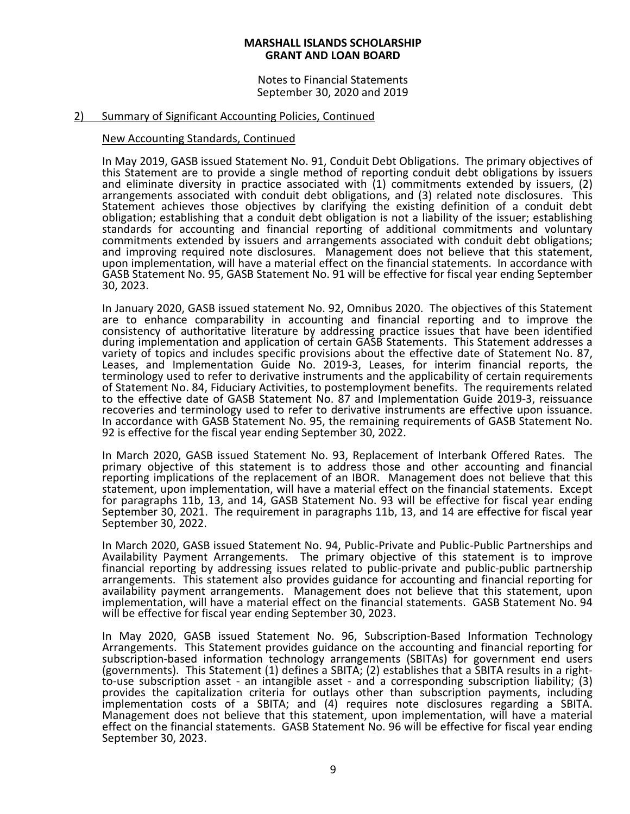Notes to Financial Statements September 30, 2020 and 2019

#### 2) Summary of Significant Accounting Policies, Continued

#### New Accounting Standards, Continued

In May 2019, GASB issued Statement No. 91, Conduit Debt Obligations. The primary objectives of this Statement are to provide a single method of reporting conduit debt obligations by issuers and eliminate diversity in practice associated with (1) commitments extended by issuers, (2) arrangements associated with conduit debt obligations, and (3) related note disclosures. This Statement achieves those objectives by clarifying the existing definition of a conduit debt obligation; establishing that a conduit debt obligation is not a liability of the issuer; establishing standards for accounting and financial reporting of additional commitments and voluntary commitments extended by issuers and arrangements associated with conduit debt obligations; and improving required note disclosures. Management does not believe that this statement, upon implementation, will have a material effect on the financial statements. In accordance with GASB Statement No. 95, GASB Statement No. 91 will be effective for fiscal year ending September 30, 2023.

In January 2020, GASB issued statement No. 92, Omnibus 2020. The objectives of this Statement are to enhance comparability in accounting and financial reporting and to improve the consistency of authoritative literature by addressing practice issues that have been identified during implementation and application of certain GASB Statements. This Statement addresses a variety of topics and includes specific provisions about the effective date of Statement No. 87, Leases, and Implementation Guide No. 2019-3, Leases, for interim financial reports, the terminology used to refer to derivative instruments and the applicability of certain requirements of Statement No. 84, Fiduciary Activities, to postemployment benefits. The requirements related to the effective date of GASB Statement No. 87 and Implementation Guide 2019-3, reissuance recoveries and terminology used to refer to derivative instruments are effective upon issuance. In accordance with GASB Statement No. 95, the remaining requirements of GASB Statement No. 92 is effective for the fiscal year ending September 30, 2022.

In March 2020, GASB issued Statement No. 93, Replacement of Interbank Offered Rates. The primary objective of this statement is to address those and other accounting and financial reporting implications of the replacement of an IBOR. Management does not believe that this statement, upon implementation, will have a material effect on the financial statements. Except for paragraphs 11b, 13, and 14, GASB Statement No. 93 will be effective for fiscal year ending September 30, 2021. The requirement in paragraphs 11b, 13, and 14 are effective for fiscal year September 30, 2022.

In March 2020, GASB issued Statement No. 94, Public-Private and Public-Public Partnerships and Availability Payment Arrangements. The primary objective of this statement is to improve financial reporting by addressing issues related to public-private and public-public partnership arrangements. This statement also provides guidance for accounting and financial reporting for availability payment arrangements. Management does not believe that this statement, upon implementation, will have a material effect on the financial statements. GASB Statement No. 94 will be effective for fiscal year ending September 30, 2023.

In May 2020, GASB issued Statement No. 96, Subscription-Based Information Technology Arrangements. This Statement provides guidance on the accounting and financial reporting for subscription-based information technology arrangements (SBITAs) for government end users (governments). This Statement (1) defines a SBITA; (2) establishes that a SBITA results in a rightto-use subscription asset - an intangible asset - and a corresponding subscription liability; (3) provides the capitalization criteria for outlays other than subscription payments, including implementation costs of a SBITA; and (4) requires note disclosures regarding a SBITA. Management does not believe that this statement, upon implementation, will have a material effect on the financial statements. GASB Statement No. 96 will be effective for fiscal year ending September 30, 2023.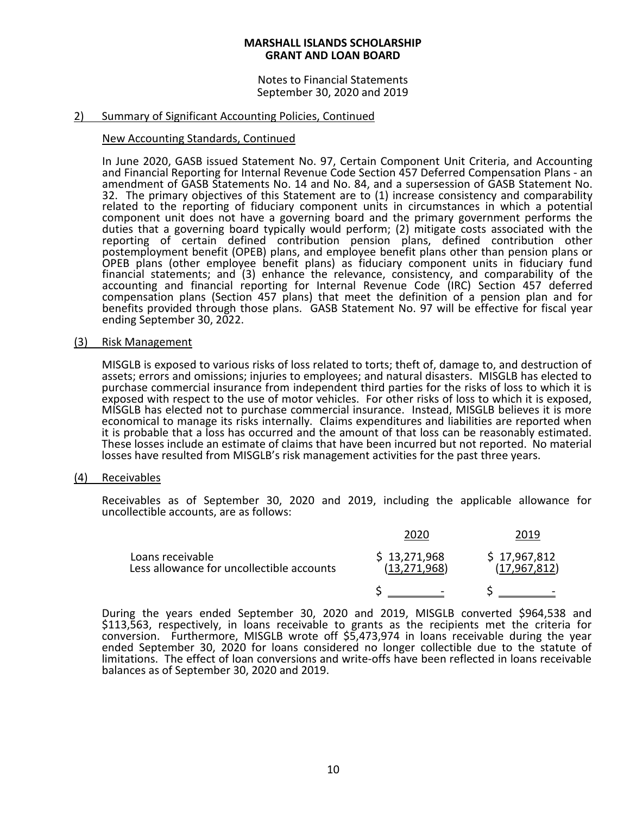Notes to Financial Statements September 30, 2020 and 2019

#### 2) Summary of Significant Accounting Policies, Continued

#### New Accounting Standards, Continued

In June 2020, GASB issued Statement No. 97, Certain Component Unit Criteria, and Accounting and Financial Reporting for Internal Revenue Code Section 457 Deferred Compensation Plans - an amendment of GASB Statements No. 14 and No. 84, and a supersession of GASB Statement No. 32. The primary objectives of this Statement are to (1) increase consistency and comparability related to the reporting of fiduciary component units in circumstances in which a potential component unit does not have a governing board and the primary government performs the duties that a governing board typically would perform; (2) mitigate costs associated with the reporting of certain defined contribution pension plans, defined contribution other postemployment benefit (OPEB) plans, and employee benefit plans other than pension plans or OPEB plans (other employee benefit plans) as fiduciary component units in fiduciary fund financial statements; and (3) enhance the relevance, consistency, and comparability of the accounting and financial reporting for Internal Revenue Code (IRC) Section 457 deferred compensation plans (Section 457 plans) that meet the definition of a pension plan and for benefits provided through those plans. GASB Statement No. 97 will be effective for fiscal year ending September 30, 2022.

#### (3) Risk Management

MISGLB is exposed to various risks of loss related to torts; theft of, damage to, and destruction of assets; errors and omissions; injuries to employees; and natural disasters. MISGLB has elected to purchase commercial insurance from independent third parties for the risks of loss to which it is exposed with respect to the use of motor vehicles. For other risks of loss to which it is exposed, MISGLB has elected not to purchase commercial insurance. Instead, MISGLB believes it is more economical to manage its risks internally. Claims expenditures and liabilities are reported when it is probable that a loss has occurred and the amount of that loss can be reasonably estimated. These losses include an estimate of claims that have been incurred but not reported. No material losses have resulted from MISGLB's risk management activities for the past three years.

#### (4) Receivables

Receivables as of September 30, 2020 and 2019, including the applicable allowance for uncollectible accounts, are as follows:

|                                                               | 2020                         | 2019.                        |
|---------------------------------------------------------------|------------------------------|------------------------------|
| Loans receivable<br>Less allowance for uncollectible accounts | \$13,271,968<br>(13.271.968) | \$17,967,812<br>(17.967.812) |
|                                                               |                              |                              |

During the years ended September 30, 2020 and 2019, MISGLB converted \$964,538 and \$113,563, respectively, in loans receivable to grants as the recipients met the criteria for conversion. Furthermore, MISGLB wrote off \$5,473,974 in loans receivable during the year ended September 30, 2020 for loans considered no longer collectible due to the statute of limitations. The effect of loan conversions and write-offs have been reflected in loans receivable balances as of September 30, 2020 and 2019.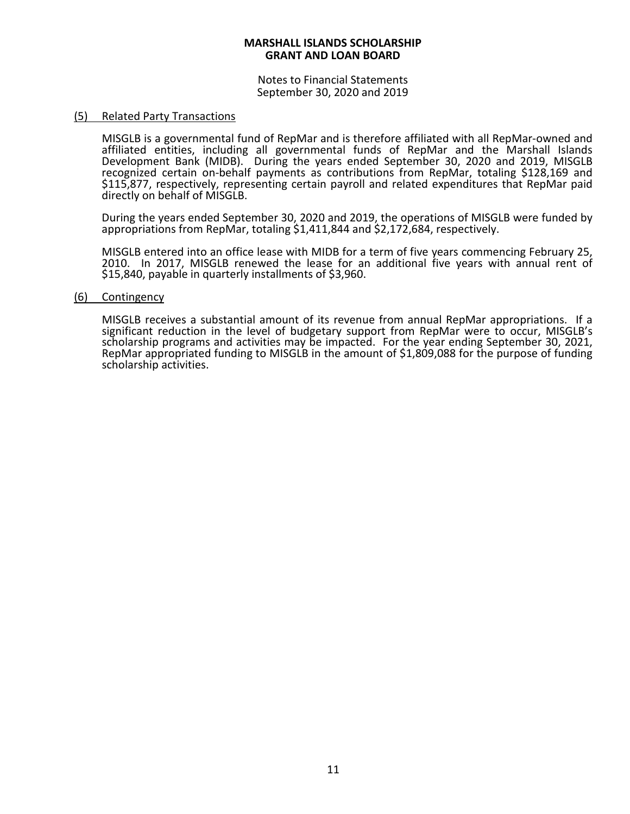Notes to Financial Statements September 30, 2020 and 2019

#### (5) Related Party Transactions

MISGLB is a governmental fund of RepMar and is therefore affiliated with all RepMar-owned and affiliated entities, including all governmental funds of RepMar and the Marshall Islands Development Bank (MIDB). During the years ended September 30, 2020 and 2019, MISGLB recognized certain on-behalf payments as contributions from RepMar, totaling \$128,169 and \$115,877, respectively, representing certain payroll and related expenditures that RepMar paid directly on behalf of MISGLB.

During the years ended September 30, 2020 and 2019, the operations of MISGLB were funded by appropriations from RepMar, totaling \$1,411,844 and \$2,172,684, respectively.

MISGLB entered into an office lease with MIDB for a term of five years commencing February 25, 2010. In 2017, MISGLB renewed the lease for an additional five years with annual rent of \$15,840, payable in quarterly installments of \$3,960.

#### (6) Contingency

MISGLB receives a substantial amount of its revenue from annual RepMar appropriations. If a significant reduction in the level of budgetary support from RepMar were to occur, MISGLB's scholarship programs and activities may be impacted. For the year ending September 30, 2021, RepMar appropriated funding to MISGLB in the amount of \$1,809,088 for the purpose of funding scholarship activities.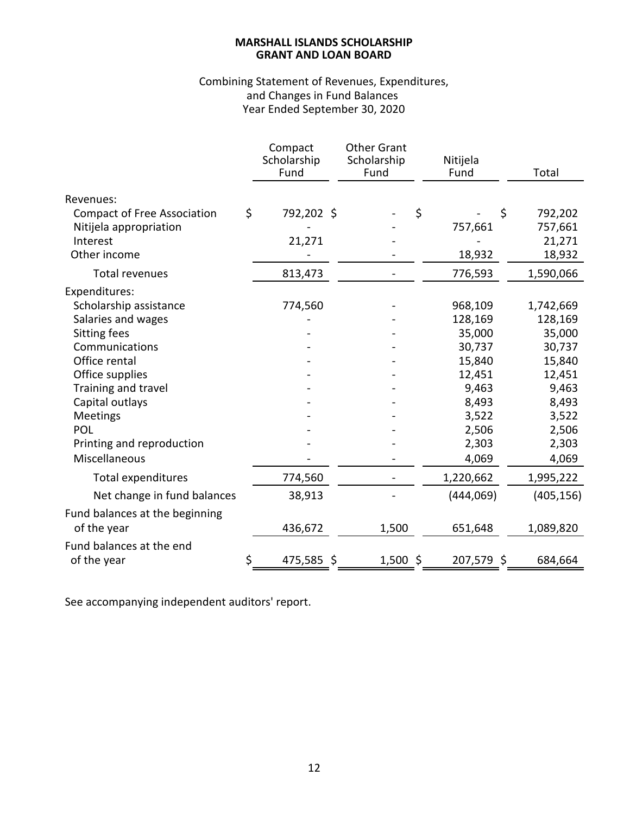# **GRANT AND LOAN BOARD MARSHALL ISLANDS SCHOLARSHIP**

# Combining Statement of Revenues, Expenditures, Year Ended September 30, 2020 and Changes in Fund Balances

| Compact<br>Scholarship<br>Fund     |    | <b>Other Grant</b><br>Scholarship<br>Fund |          | Nitijela<br>Fund |            | Total |            |
|------------------------------------|----|-------------------------------------------|----------|------------------|------------|-------|------------|
| Revenues:                          |    |                                           |          |                  |            |       |            |
| <b>Compact of Free Association</b> | \$ | 792,202 \$                                |          | \$               |            | \$    | 792,202    |
| Nitijela appropriation             |    |                                           |          |                  | 757,661    |       | 757,661    |
| Interest                           |    | 21,271                                    |          |                  |            |       | 21,271     |
| Other income                       |    |                                           |          |                  | 18,932     |       | 18,932     |
| Total revenues                     |    | 813,473                                   |          |                  | 776,593    |       | 1,590,066  |
| Expenditures:                      |    |                                           |          |                  |            |       |            |
| Scholarship assistance             |    | 774,560                                   |          |                  | 968,109    |       | 1,742,669  |
| Salaries and wages                 |    |                                           |          |                  | 128,169    |       | 128,169    |
| Sitting fees                       |    |                                           |          |                  | 35,000     |       | 35,000     |
| Communications                     |    |                                           |          |                  | 30,737     |       | 30,737     |
| Office rental                      |    |                                           |          |                  | 15,840     |       | 15,840     |
| Office supplies                    |    |                                           |          |                  | 12,451     |       | 12,451     |
| Training and travel                |    |                                           |          |                  | 9,463      |       | 9,463      |
| Capital outlays                    |    |                                           |          |                  | 8,493      |       | 8,493      |
| Meetings                           |    |                                           |          |                  | 3,522      |       | 3,522      |
| POL                                |    |                                           |          |                  | 2,506      |       | 2,506      |
| Printing and reproduction          |    |                                           |          |                  | 2,303      |       | 2,303      |
| Miscellaneous                      |    |                                           |          |                  | 4,069      |       | 4,069      |
| Total expenditures                 |    | 774,560                                   |          |                  | 1,220,662  |       | 1,995,222  |
| Net change in fund balances        |    | 38,913                                    |          |                  | (444, 069) |       | (405, 156) |
| Fund balances at the beginning     |    |                                           |          |                  |            |       |            |
| of the year                        |    | 436,672                                   | 1,500    |                  | 651,648    |       | 1,089,820  |
| Fund balances at the end           |    |                                           |          |                  |            |       |            |
| of the year                        | \$ | 475,585 \$                                | 1,500 \$ |                  | 207,579 \$ |       | 684,664    |

See accompanying independent auditors' report.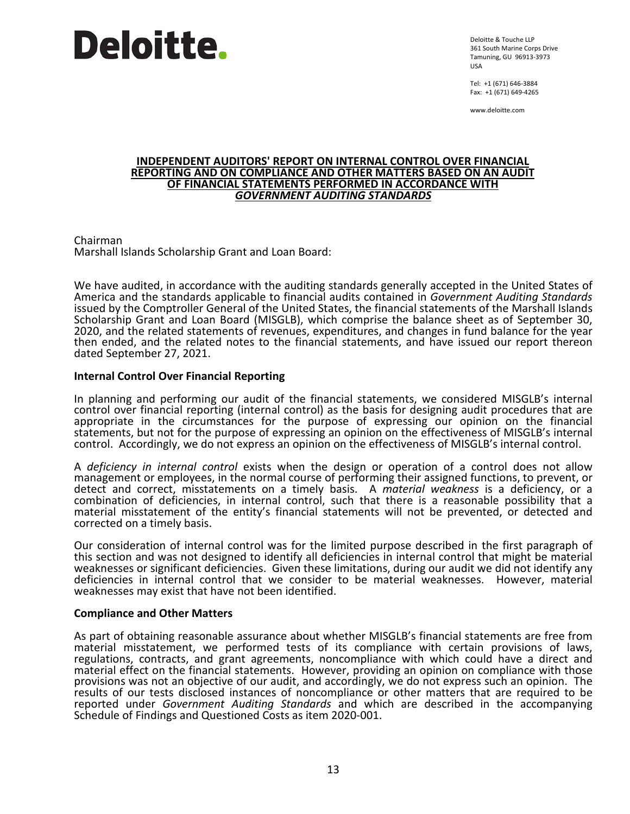

Deloitte & Touche LLP 361 South Marine Corps Drive Tamuning, GU 96913-3973 USA

Tel: +1 (671) 646-3884 Fax: +1 (671) 649-4265

www.deloitte.com

#### **INDEPENDENT AUDITORS' REPORT ON INTERNAL CONTROL OVER FINANCIAL REPORTING AND ON COMPLIANCE AND OTHER MATTERS BASED ON AN AUDIT OF FINANCIAL STATEMENTS PERFORMED IN ACCORDANCE WITH**  *GOVERNMENT AUDITING STANDARDS*

Chairman Marshall Islands Scholarship Grant and Loan Board:

We have audited, in accordance with the auditing standards generally accepted in the United States of America and the standards applicable to financial audits contained in *Government Auditing Standards* issued by the Comptroller General of the United States, the financial statements of the Marshall Islands Scholarship Grant and Loan Board (MISGLB), which comprise the balance sheet as of September 30, 2020, and the related statements of revenues, expenditures, and changes in fund balance for the year then ended, and the related notes to the financial statements, and have issued our report thereon dated September 27, 2021.

#### **Internal Control Over Financial Reporting**

In planning and performing our audit of the financial statements, we considered MISGLB's internal control over financial reporting (internal control) as the basis for designing audit procedures that are appropriate in the circumstances for the purpose of expressing our opinion on the financial statements, but not for the purpose of expressing an opinion on the effectiveness of MISGLB's internal control. Accordingly, we do not express an opinion on the effectiveness of MISGLB's internal control.

A *deficiency in internal control* exists when the design or operation of a control does not allow management or employees, in the normal course of performing their assigned functions, to prevent, or detect and correct, misstatements on a timely basis. A *material weakness* is a deficiency, or a combination of deficiencies, in internal control, such that there is a reasonable possibility that a material misstatement of the entity's financial statements will not be prevented, or detected and corrected on a timely basis.

Our consideration of internal control was for the limited purpose described in the first paragraph of this section and was not designed to identify all deficiencies in internal control that might be material weaknesses or significant deficiencies. Given these limitations, during our audit we did not identify any deficiencies in internal control that we consider to be material weaknesses. However, material weaknesses may exist that have not been identified.

#### **Compliance and Other Matters**

As part of obtaining reasonable assurance about whether MISGLB's financial statements are free from material misstatement, we performed tests of its compliance with certain provisions of laws, regulations, contracts, and grant agreements, noncompliance with which could have a direct and material effect on the financial statements. However, providing an opinion on compliance with those provisions was not an objective of our audit, and accordingly, we do not express such an opinion. The results of our tests disclosed instances of noncompliance or other matters that are required to be reported under *Government Auditing Standards* and which are described in the accompanying Schedule of Findings and Questioned Costs as item 2020-001.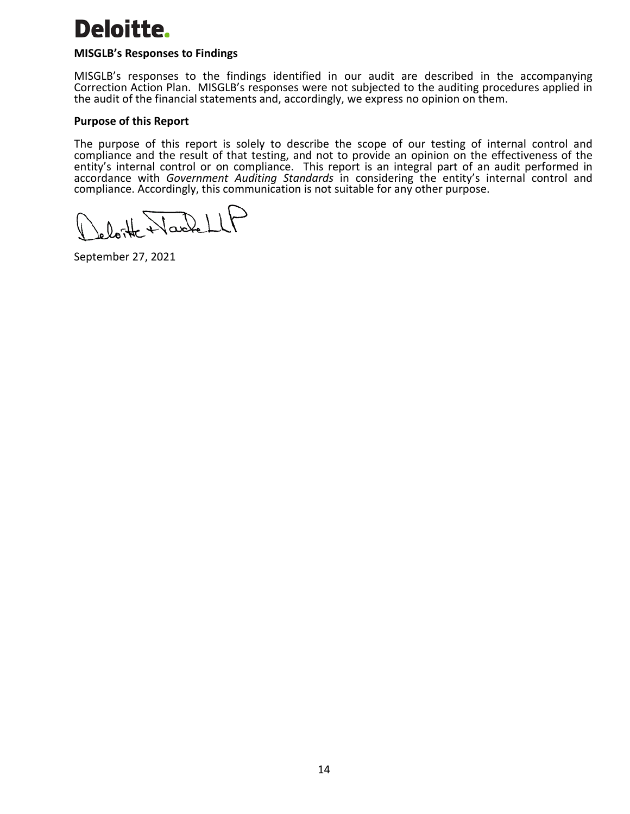# **MISGLB's Responses to Findings**

MISGLB's responses to the findings identified in our audit are described in the accompanying Correction Action Plan. MISGLB's responses were not subjected to the auditing procedures applied in the audit of the financial statements and, accordingly, we express no opinion on them.

## **Purpose of this Report**

The purpose of this report is solely to describe the scope of our testing of internal control and compliance and the result of that testing, and not to provide an opinion on the effectiveness of the entity's internal control or on compliance. This report is an integral part of an audit performed in accordance with *Government Auditing Standards* in considering the entity's internal control and compliance. Accordingly, this communication is not suitable for any other purpose.

loite Nachell

September 27, 2021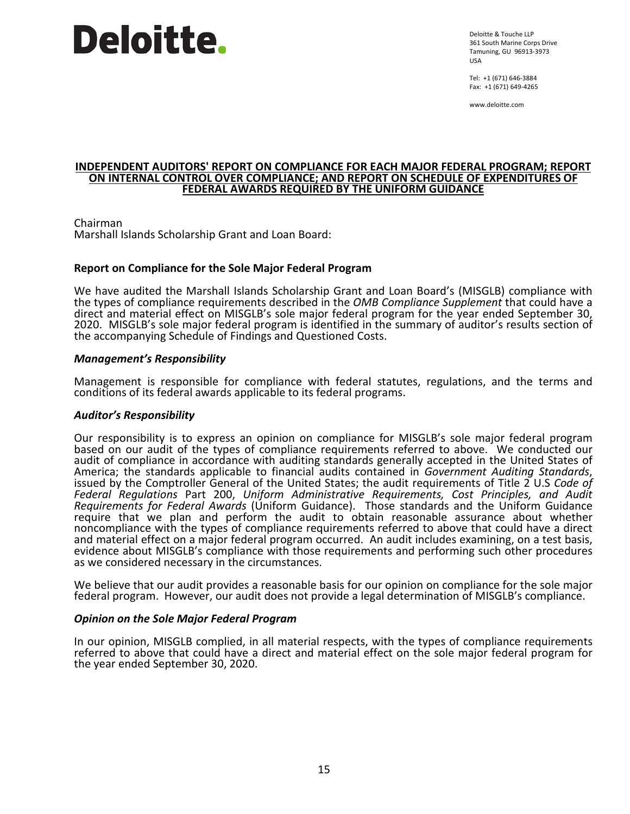Deloitte & Touche LLP 361 South Marine Corps Drive Tamuning, GU 96913-3973 USA

Tel: +1 (671) 646-3884 Fax: +1 (671) 649-4265

www.deloitte.com

#### **INDEPENDENT AUDITORS' REPORT ON COMPLIANCE FOR EACH MAJOR FEDERAL PROGRAM; REPORT ON INTERNAL CONTROL OVER COMPLIANCE; AND REPORT ON SCHEDULE OF EXPENDITURES OF FEDERAL AWARDS REQUIRED BY THE UNIFORM GUIDANCE**

Chairman Marshall Islands Scholarship Grant and Loan Board:

#### **Report on Compliance for the Sole Major Federal Program**

We have audited the Marshall Islands Scholarship Grant and Loan Board's (MISGLB) compliance with the types of compliance requirements described in the *OMB Compliance Supplement* that could have a direct and material effect on MISGLB's sole major federal program for the year ended September 30, 2020. MISGLB's sole major federal program is identified in the summary of auditor's results section of the accompanying Schedule of Findings and Questioned Costs.

#### *Management's Responsibility*

Management is responsible for compliance with federal statutes, regulations, and the terms and conditions of its federal awards applicable to its federal programs.

#### *Auditor's Responsibility*

Our responsibility is to express an opinion on compliance for MISGLB's sole major federal program based on our audit of the types of compliance requirements referred to above. We conducted our audit of compliance in accordance with auditing standards generally accepted in the United States of America; the standards applicable to financial audits contained in Government Auditing Standards, America; the standards applicable to financial audits contained in *Government Auditing Standards,*<br>issued by the Comptroller General of the United States; the audit requirements of Title 2 U.S *Code of Federal Regulations* Part 200, *Uniform Administrative Requirements, Cost Principles, and Audit Requirements for Federal Awards* (Uniform Guidance). Those standards and the Uniform Guidance require that we plan and perform the audit to obtain reasonable assurance about whether noncompliance with the types of compliance requirements referred to above that could have a direct and material effect on a major federal program occurred. An audit includes examining, on a test basis, evidence about MISGLB's compliance with those requirements and performing such other procedures as we considered necessary in the circumstances.

We believe that our audit provides a reasonable basis for our opinion on compliance for the sole major federal program. However, our audit does not provide a legal determination of MISGLB's compliance.

#### *Opinion on the Sole Major Federal Program*

In our opinion, MISGLB complied, in all material respects, with the types of compliance requirements referred to above that could have a direct and material effect on the sole major federal program for the year ended September 30, 2020.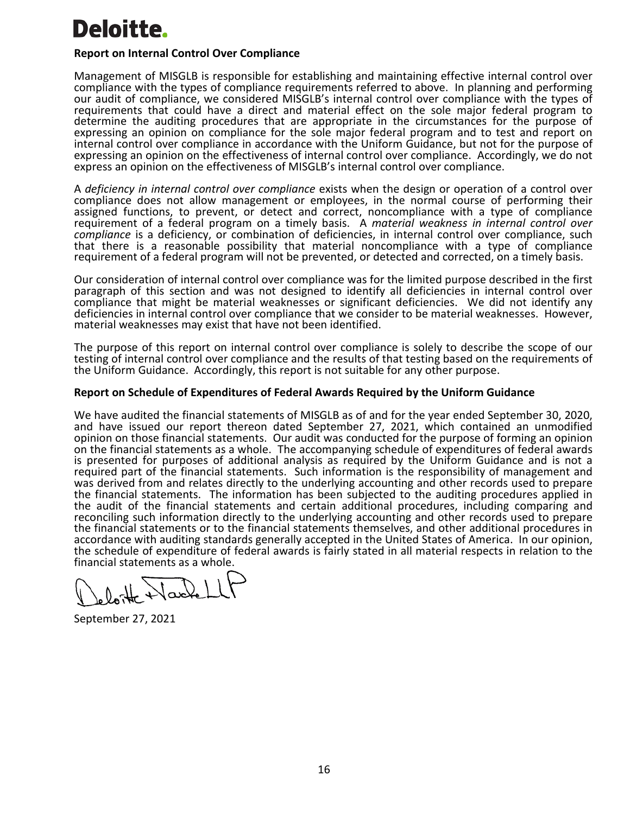# **Report on Internal Control Over Compliance**

Management of MISGLB is responsible for establishing and maintaining effective internal control over compliance with the types of compliance requirements referred to above. In planning and performing our audit of compliance, we considered MISGLB's internal control over compliance with the types of requirements that could have a direct and material effect on the sole major federal program to determine the auditing procedures that are appropriate in the circumstances for the purpose of expressing an opinion on compliance for the sole major federal program and to test and report on internal control over compliance in accordance with the Uniform Guidance, but not for the purpose of expressing an opinion on the effectiveness of internal control over compliance. Accordingly, we do not express an opinion on the effectiveness of MISGLB's internal control over compliance.

A *deficiency in internal control over compliance* exists when the design or operation of a control over compliance does not allow management or employees, in the normal course of performing their assigned functions, to prevent, or detect and correct, noncompliance with a type of compliance requirement of a federal program on a timely basis. A *material weakness in internal control over compliance* is a deficiency, or combination of deficiencies, in internal control over compliance, such that there is a reasonable possibility that material noncompliance with a type of compliance requirement of a federal program will not be prevented, or detected and corrected, on a timely basis.

Our consideration of internal control over compliance was for the limited purpose described in the first paragraph of this section and was not designed to identify all deficiencies in internal control over compliance that might be material weaknesses or significant deficiencies. We did not identify any deficiencies in internal control over compliance that we consider to be material weaknesses. However, material weaknesses may exist that have not been identified.

The purpose of this report on internal control over compliance is solely to describe the scope of our testing of internal control over compliance and the results of that testing based on the requirements of the Uniform Guidance. Accordingly, this report is not suitable for any other purpose.

#### **Report on Schedule of Expenditures of Federal Awards Required by the Uniform Guidance**

We have audited the financial statements of MISGLB as of and for the year ended September 30, 2020, and have issued our report thereon dated September 27, 2021, which contained an unmodified opinion on those financial statements. Our audit was conducted for the purpose of forming an opinion on the financial statements as a whole. The accompanying schedule of expenditures of federal awards is presented for purposes of additional analysis as required by the Uniform Guidance and is not a required part of the financial statements. Such information is the responsibility of management and was derived from and relates directly to the underlying accounting and other records used to prepare the financial statements. The information has been subjected to the auditing procedures applied in the audit of the financial statements and certain additional procedures, including comparing and reconciling such information directly to the underlying accounting and other records used to prepare the financial statements or to the financial statements themselves, and other additional procedures in accordance with auditing standards generally accepted in the United States of America. In our opinion, the schedule of expenditure of federal awards is fairly stated in all material respects in relation to the financial statements as a whole.

September 27, 2021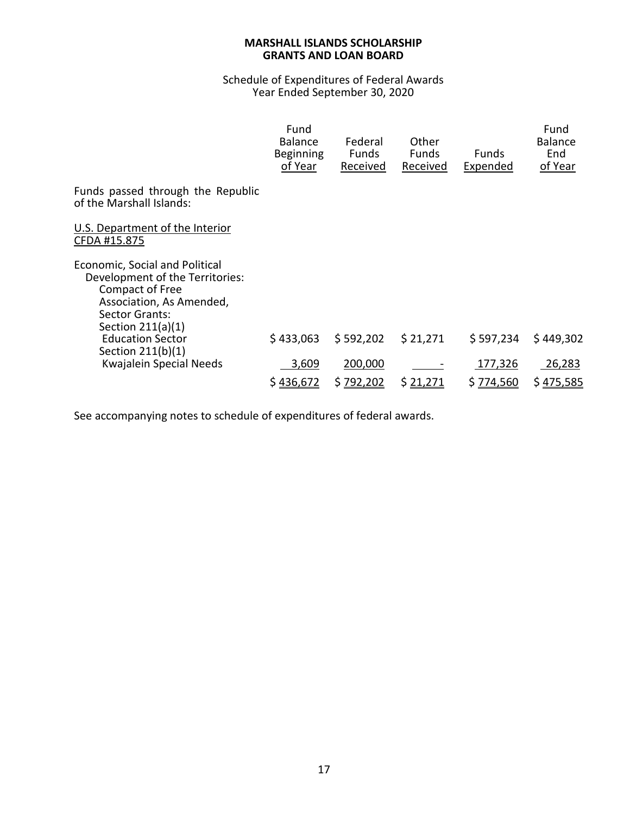Schedule of Expenditures of Federal Awards Year Ended September 30, 2020

|                                                                                                                                                                | Fund<br><b>Balance</b><br><b>Beginning</b><br>of Year | Federal<br><b>Funds</b><br>Received | Other<br><b>Funds</b><br>Received | <b>Funds</b><br>Expended | Fund<br><b>Balance</b><br>End<br>of Year |
|----------------------------------------------------------------------------------------------------------------------------------------------------------------|-------------------------------------------------------|-------------------------------------|-----------------------------------|--------------------------|------------------------------------------|
| Funds passed through the Republic<br>of the Marshall Islands:                                                                                                  |                                                       |                                     |                                   |                          |                                          |
| U.S. Department of the Interior<br>CFDA #15.875                                                                                                                |                                                       |                                     |                                   |                          |                                          |
| Economic, Social and Political<br>Development of the Territories:<br>Compact of Free<br>Association, As Amended,<br><b>Sector Grants:</b><br>Section 211(a)(1) |                                                       |                                     |                                   |                          |                                          |
| <b>Education Sector</b>                                                                                                                                        | \$433,063                                             | \$592,202                           | \$21,271                          | \$597,234                | \$449,302                                |
| Section $211(b)(1)$<br>Kwajalein Special Needs                                                                                                                 | 3,609                                                 | 200,000                             |                                   | 177,326                  | 26,283                                   |
|                                                                                                                                                                | \$436,672                                             | \$792,202                           | \$21,271                          | \$774,560                | \$475,585                                |

See accompanying notes to schedule of expenditures of federal awards.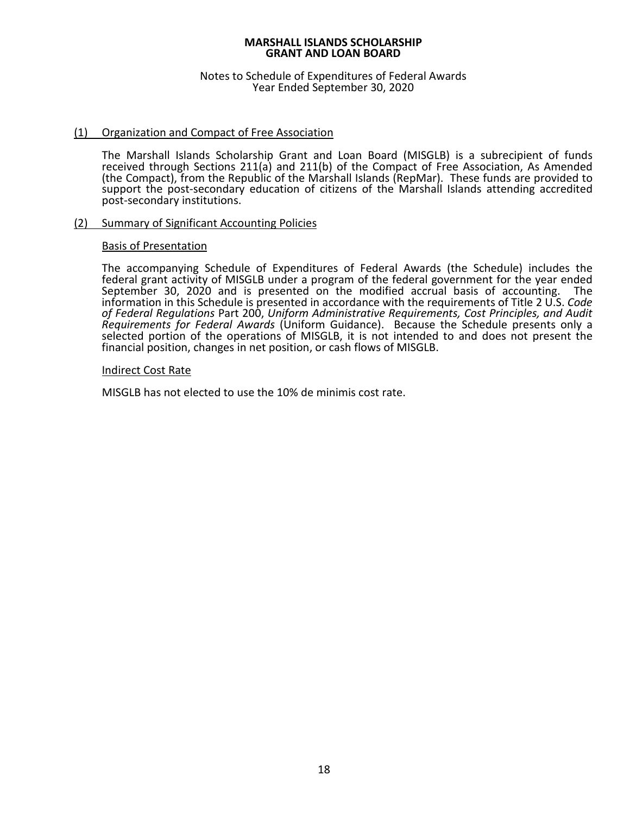#### Notes to Schedule of Expenditures of Federal Awards Year Ended September 30, 2020

## (1) Organization and Compact of Free Association

The Marshall Islands Scholarship Grant and Loan Board (MISGLB) is a subrecipient of funds received through Sections 211(a) and 211(b) of the Compact of Free Association, As Amended (the Compact), from the Republic of the Marshall Islands (RepMar). These funds are provided to support the post-secondary education of citizens of the Marshall Islands attending accredited post-secondary institutions.

#### (2) Summary of Significant Accounting Policies

#### Basis of Presentation

The accompanying Schedule of Expenditures of Federal Awards (the Schedule) includes the federal grant activity of MISGLB under a program of the federal government for the year ended September 30, 2020 and is presented on the modified accrual basis of accounting. The information in this Schedule is presented in accordance with the requirements of Title 2 U.S. *Code of Federal Regulations* Part 200, *Uniform Administrative Requirements, Cost Principles, and Audit Requirements for Federal Awards* (Uniform Guidance). Because the Schedule presents only a selected portion of the operations of MISGLB, it is not intended to and does not present the financial position, changes in net position, or cash flows of MISGLB.

#### Indirect Cost Rate

MISGLB has not elected to use the 10% de minimis cost rate.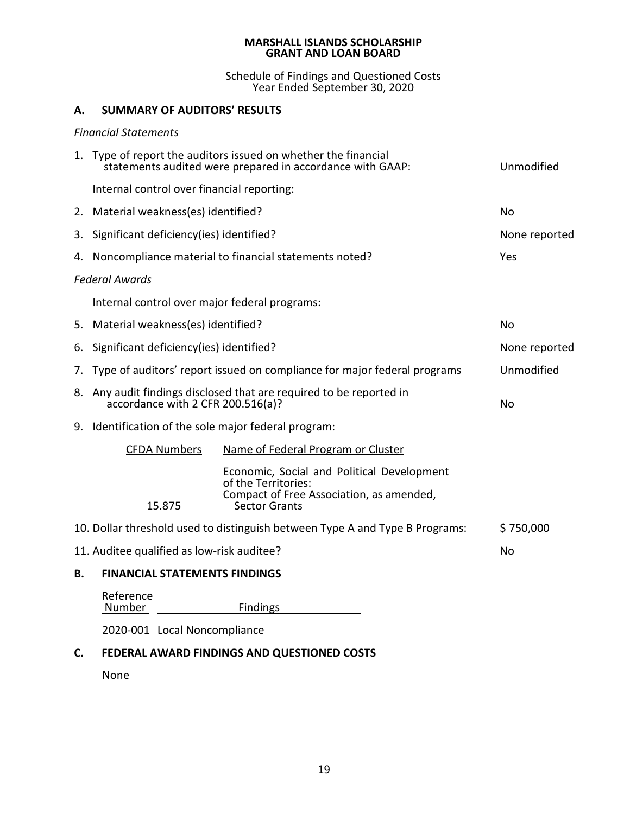Schedule of Findings and Questioned Costs Year Ended September 30, 2020

# **A. SUMMARY OF AUDITORS' RESULTS**

# *Financial Statements*

| 1. Type of report the auditors issued on whether the financial<br>statements audited were prepared in accordance with GAAP:<br>Unmodified |                                                                                                                                |                                                                                                                                                                                                                                                                                                                                                                                                                                                                                                                                                                                                                                                                      |  |  |  |
|-------------------------------------------------------------------------------------------------------------------------------------------|--------------------------------------------------------------------------------------------------------------------------------|----------------------------------------------------------------------------------------------------------------------------------------------------------------------------------------------------------------------------------------------------------------------------------------------------------------------------------------------------------------------------------------------------------------------------------------------------------------------------------------------------------------------------------------------------------------------------------------------------------------------------------------------------------------------|--|--|--|
|                                                                                                                                           |                                                                                                                                |                                                                                                                                                                                                                                                                                                                                                                                                                                                                                                                                                                                                                                                                      |  |  |  |
|                                                                                                                                           | <b>No</b>                                                                                                                      |                                                                                                                                                                                                                                                                                                                                                                                                                                                                                                                                                                                                                                                                      |  |  |  |
|                                                                                                                                           |                                                                                                                                | None reported                                                                                                                                                                                                                                                                                                                                                                                                                                                                                                                                                                                                                                                        |  |  |  |
|                                                                                                                                           |                                                                                                                                | Yes                                                                                                                                                                                                                                                                                                                                                                                                                                                                                                                                                                                                                                                                  |  |  |  |
|                                                                                                                                           |                                                                                                                                |                                                                                                                                                                                                                                                                                                                                                                                                                                                                                                                                                                                                                                                                      |  |  |  |
|                                                                                                                                           |                                                                                                                                |                                                                                                                                                                                                                                                                                                                                                                                                                                                                                                                                                                                                                                                                      |  |  |  |
|                                                                                                                                           |                                                                                                                                | <b>No</b>                                                                                                                                                                                                                                                                                                                                                                                                                                                                                                                                                                                                                                                            |  |  |  |
|                                                                                                                                           |                                                                                                                                | None reported                                                                                                                                                                                                                                                                                                                                                                                                                                                                                                                                                                                                                                                        |  |  |  |
|                                                                                                                                           |                                                                                                                                | Unmodified                                                                                                                                                                                                                                                                                                                                                                                                                                                                                                                                                                                                                                                           |  |  |  |
| Any audit findings disclosed that are required to be reported in<br>8.<br>accordance with 2 CFR 200.516(a)?<br>No                         |                                                                                                                                |                                                                                                                                                                                                                                                                                                                                                                                                                                                                                                                                                                                                                                                                      |  |  |  |
|                                                                                                                                           |                                                                                                                                |                                                                                                                                                                                                                                                                                                                                                                                                                                                                                                                                                                                                                                                                      |  |  |  |
| <b>CFDA Numbers</b>                                                                                                                       | Name of Federal Program or Cluster                                                                                             |                                                                                                                                                                                                                                                                                                                                                                                                                                                                                                                                                                                                                                                                      |  |  |  |
| 15.875                                                                                                                                    | Economic, Social and Political Development<br>of the Territories:<br>Compact of Free Association, as amended,<br>Sector Grants |                                                                                                                                                                                                                                                                                                                                                                                                                                                                                                                                                                                                                                                                      |  |  |  |
|                                                                                                                                           |                                                                                                                                | \$750,000                                                                                                                                                                                                                                                                                                                                                                                                                                                                                                                                                                                                                                                            |  |  |  |
|                                                                                                                                           |                                                                                                                                | <b>No</b>                                                                                                                                                                                                                                                                                                                                                                                                                                                                                                                                                                                                                                                            |  |  |  |
|                                                                                                                                           |                                                                                                                                |                                                                                                                                                                                                                                                                                                                                                                                                                                                                                                                                                                                                                                                                      |  |  |  |
| Reference<br>Number                                                                                                                       | Findings                                                                                                                       |                                                                                                                                                                                                                                                                                                                                                                                                                                                                                                                                                                                                                                                                      |  |  |  |
|                                                                                                                                           |                                                                                                                                |                                                                                                                                                                                                                                                                                                                                                                                                                                                                                                                                                                                                                                                                      |  |  |  |
|                                                                                                                                           | <b>Federal Awards</b><br>6.                                                                                                    | Internal control over financial reporting:<br>Material weakness(es) identified?<br>Significant deficiency(ies) identified?<br>4. Noncompliance material to financial statements noted?<br>Internal control over major federal programs:<br>5. Material weakness(es) identified?<br>Significant deficiency(ies) identified?<br>Type of auditors' report issued on compliance for major federal programs<br>9. Identification of the sole major federal program:<br>10. Dollar threshold used to distinguish between Type A and Type B Programs:<br>11. Auditee qualified as low-risk auditee?<br><b>FINANCIAL STATEMENTS FINDINGS</b><br>2020-001 Local Noncompliance |  |  |  |

# **C. FEDERAL AWARD FINDINGS AND QUESTIONED COSTS**

None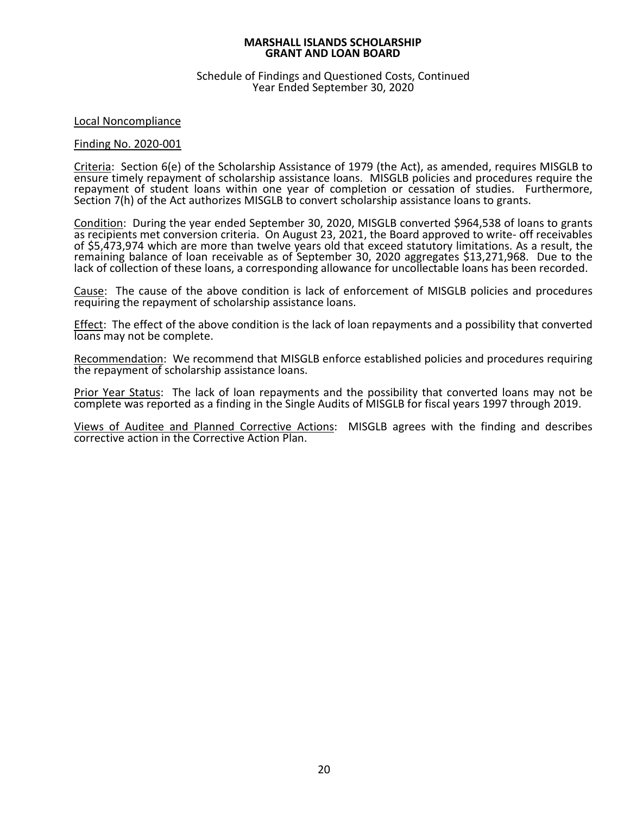#### Schedule of Findings and Questioned Costs, Continued Year Ended September 30, 2020

#### Local Noncompliance

#### Finding No. 2020-001

Criteria: Section 6(e) of the Scholarship Assistance of 1979 (the Act), as amended, requires MISGLB to ensure timely repayment of scholarship assistance loans. MISGLB policies and procedures require the repayment of student loans within one vear of completion or cessation of studies. Furthermore, repayment of the Act authorizes MISGLB to convert scholarship assistance loans to grants.

Condition: During the year ended September 30, 2020, MISGLB converted \$964,538 of loans to grants as recipients met conversion criteria. On August 23, 2021, the Board approved to write- off receivables of \$5,473,974 which are more than twelve years old that exceed statutory limitations. As a result, the remaining balance of loan receivable as of September 30, 2020 aggregates \$13,271,968. Due to the lack of collection of these loans, a corresponding allowance for uncollectable loans has been recorded.

Cause: The cause of the above condition is lack of enforcement of MISGLB policies and procedures requiring the repayment of scholarship assistance loans.

Effect: The effect of the above condition is the lack of loan repayments and a possibility that converted loans may not be complete.

Recommendation: We recommend that MISGLB enforce established policies and procedures requiring the repayment of scholarship assistance loans.

Prior Year Status: The lack of loan repayments and the possibility that converted loans may not be complete was reported as a finding in the Single Audits of MISGLB for fiscal years 1997 through 2019.

Views of Auditee and Planned Corrective Actions: MISGLB agrees with the finding and describes corrective action in the Corrective Action Plan.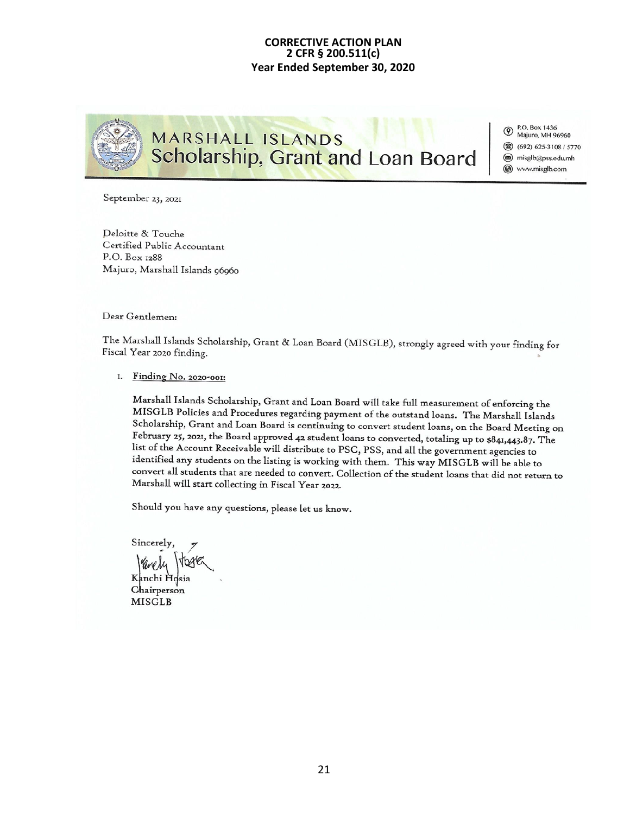#### **CORRECTIVE ACTION PLAN 2 CFR § 200.511(c) Year Ended September 30, 2020**



MARSHALL ISLANDS Scholarship, Grant and Loan Board

P.O. Box 1436<br>Majuro, MH 96960  $\circledcirc$ 

(8) (692) 625-3108 / 5770 misglb@pss.edu.mh

(c) www.misglb.com

September 23, 2021

Deloitte & Touche Certified Public Accountant P.O. Box 1288 Majuro, Marshall Islands 96960

Dear Gentlemen:

The Marshall Islands Scholarship, Grant & Loan Board (MISGLB), strongly agreed with your finding for Fiscal Year 2020 finding.

I. Finding No. 2020-001:

Marshall Islands Scholarship, Grant and Loan Board will take full measurement of enforcing the MISGLB Policies and Procedures regarding payment of the outstand loans. The Marshall Islands Scholarship, Grant and Loan Board is continuing to convert student loans, on the Board Meeting on February 25, 2021, the Board approved 42 student loans to converted, totaling up to \$841,443.87. The list of the Account Receivable will distribute to PSC, PSS, and all the government agencies to identified any students on the listing is working with them. This way MISGLB will be able to convert all students that are needed to convert. Collection of the student loans that did not return to Marshall will start collecting in Fiscal Year 2022.

Should you have any questions, please let us know.

Sincerely, Kanchi Hosia Chairperson **MISGLB**